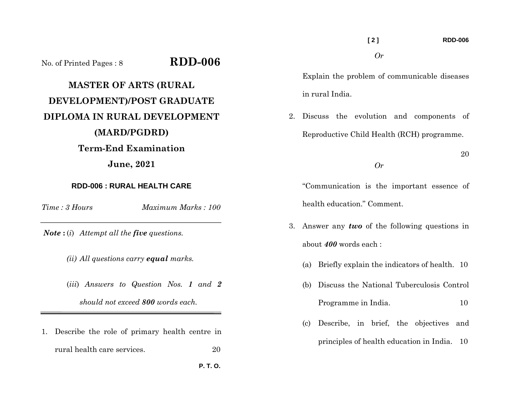|                                                            |                    |                                                  |                                                                                 |                                              | [2]                         |                                         | <b>RDD-006</b>                            |  |
|------------------------------------------------------------|--------------------|--------------------------------------------------|---------------------------------------------------------------------------------|----------------------------------------------|-----------------------------|-----------------------------------------|-------------------------------------------|--|
| No. of Printed Pages: 8                                    | $RDD-006$          |                                                  |                                                                                 |                                              | Or                          |                                         |                                           |  |
| <b>MASTER OF ARTS (RURAL</b><br>DEVELOPMENT)/POST GRADUATE |                    |                                                  | Explain the problem of communicable diseases<br>in rural India.                 |                                              |                             |                                         |                                           |  |
| DIPLOMA IN RURAL DEVELOPMENT                               | 2.                 |                                                  |                                                                                 |                                              |                             | Discuss the evolution and components of |                                           |  |
| (MARD/PGDRD)                                               |                    | Reproductive Child Health (RCH) programme.<br>Or |                                                                                 |                                              |                             |                                         |                                           |  |
| <b>Term-End Examination</b><br><b>June</b> , 2021          |                    |                                                  |                                                                                 |                                              |                             |                                         |                                           |  |
| <b>RDD-006 : RURAL HEALTH CARE</b>                         |                    |                                                  | "Communication is the important essence of                                      |                                              |                             |                                         |                                           |  |
| $Time: 3 \, Hours$                                         | Maximum Marks: 100 |                                                  |                                                                                 |                                              | health education." Comment. |                                         |                                           |  |
| <b>Note</b> : (i) Attempt all the five questions.          |                    |                                                  | 3. Answer any <i>two</i> of the following questions in<br>about 400 words each: |                                              |                             |                                         |                                           |  |
| (ii) All questions carry <b>equal</b> marks.               |                    |                                                  | (a)                                                                             | Briefly explain the indicators of health. 10 |                             |                                         |                                           |  |
| (iii) Answers to Question Nos. 1 and 2                     |                    |                                                  | (b)                                                                             |                                              |                             |                                         | Discuss the National Tuberculosis Control |  |

Programme in India. 10

principles of health education in India. 10

(c) Describe, in brief, the objectives and

*should not exceed 800 words each.* 

1. Describe the role of primary health centre in rural health care services.  $20\,$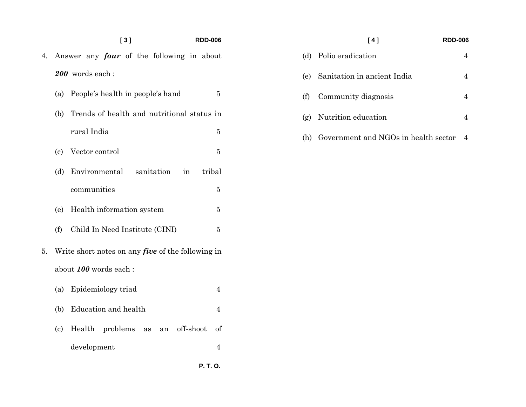## **[ 3 ] RDD-006**

- 4. Answer any *four* of the following in about *200* words each :
	- (a) People's health in people's hand 5
	- (b) Trends of health and nutritional status in rural India 5  $\overline{5}$
	- (c) Vector control 5
	- (d) Environmental sanitation in tribal communities  $\bf 5$
	- (e) Health information system 5
	- (f) Child In Need Institute (CINI) 5
- 5. Write short notes on any *five* of the following in about *100* words each :
	- (a) Epidemiology triad 4
	- (b) Education and health 4
	- (c) Health problems as an off-shoot of development 4

 **P. T. O.** 

## **[ 4 ] RDD-006**  (d) Polio eradication 4 (e) Sanitation in ancient India 4 (f) Community diagnosis 4 (g) Nutrition education 4 (h) Government and NGOs in health sector 4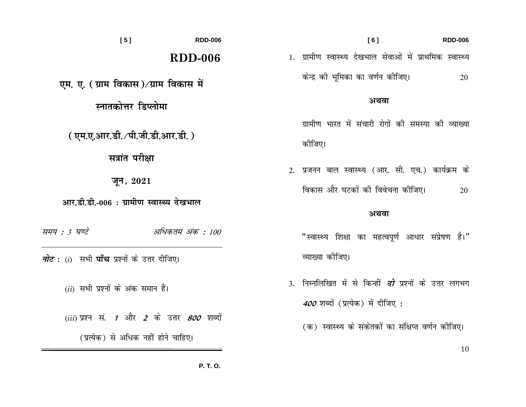$[6]$ **RDD-006 RDD-006** 1. ग्रामीण स्वास्थ्य देखभाल सेवाओं में प्राथमिक स्वास्थ्य **RDD-006** केन्द्र को भूमिका का वर्णन कोजिए। 20 एम. ए. (ग्राम विकास)⁄ग्राम विकास में अथवा ग्रामीण भारत में संचारी रोगों की समस्या की व्याख्या कोजिए। 2. प्रजनन बाल स्वास्थ्य (आर. सी. एच.) कार्यक्रम के विकास और घटकों की विवेचना कोजिए। 20

## अथवा

- "स्वास्थ्य शिक्षा का महत्वपूर्ण आधार संप्रेषण है।" व्याख्या कोजिए।
- 3. निम्नलिखित में से किन्हीं *दो* प्रश्नों के उत्तर लगभग 400 शब्दों (प्रत्येक) में दीजिए :
	- (क) स्वास्थ्य के संकेतकों का संक्षिप्त वर्णन कीजिए।

10

 $[5]$ 

स्नातकोत्तर डिप्लोमा

(एम.ए.आर.डी./पी.जी.डी.आर.डी.)

सत्रांत परीक्षा

जून,  $2021$ 

आर.डी.डी.-006 : ग्रामीण स्वास्थ्य देखभाल

अधिकतम अंक : 100 समय : 3 घण्टे

*नोट* : (i) सभी **पाँच** प्रश्नों के उत्तर दीजिए।

 $(ii)$  सभी प्रश्नों के अंक समान हैं।

(iii) प्रश्न सं. 1 और 2 के उत्तर  $800$  शब्दों

(प्रत्येक) से अधिक नहीं होने चाहिए।